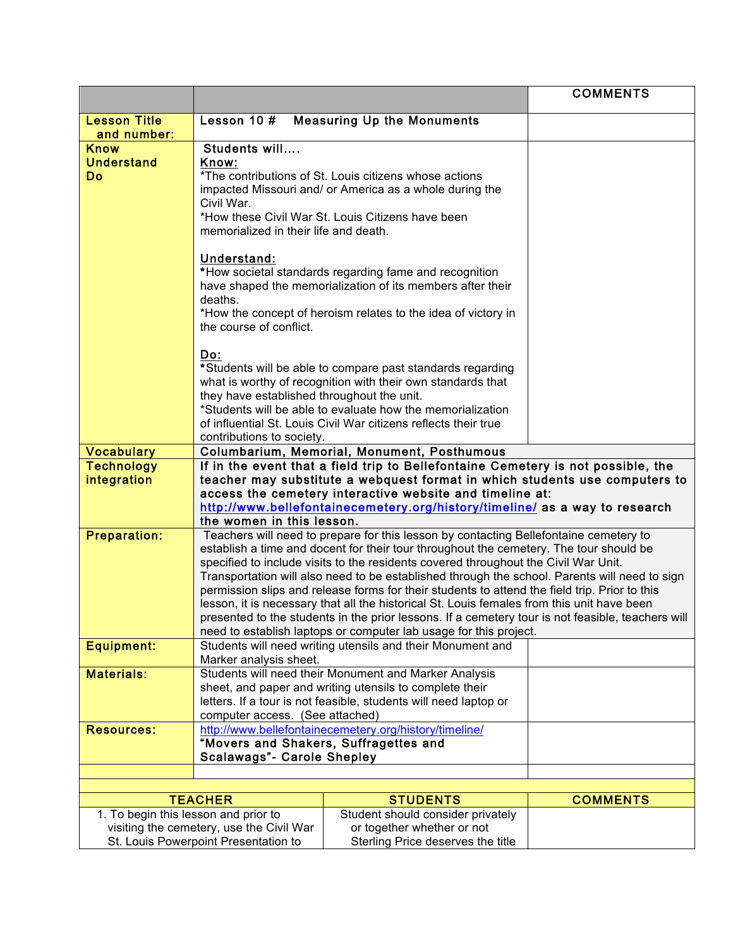|                                                                           |                                                                                                                                                                                      |                                                                                                                               | <b>COMMENTS</b> |  |
|---------------------------------------------------------------------------|--------------------------------------------------------------------------------------------------------------------------------------------------------------------------------------|-------------------------------------------------------------------------------------------------------------------------------|-----------------|--|
| <b>Lesson Title</b>                                                       | Lesson 10#                                                                                                                                                                           | <b>Measuring Up the Monuments</b>                                                                                             |                 |  |
| and number:                                                               |                                                                                                                                                                                      |                                                                                                                               |                 |  |
| <b>Know</b>                                                               | Students will                                                                                                                                                                        |                                                                                                                               |                 |  |
|                                                                           | <b>Understand</b><br>Know:<br>Do<br>*The contributions of St. Louis citizens whose actions<br>impacted Missouri and/ or America as a whole during the                                |                                                                                                                               |                 |  |
|                                                                           |                                                                                                                                                                                      |                                                                                                                               |                 |  |
|                                                                           | Civil War.                                                                                                                                                                           |                                                                                                                               |                 |  |
|                                                                           | *How these Civil War St. Louis Citizens have been                                                                                                                                    |                                                                                                                               |                 |  |
|                                                                           | memorialized in their life and death.                                                                                                                                                |                                                                                                                               |                 |  |
|                                                                           |                                                                                                                                                                                      |                                                                                                                               |                 |  |
|                                                                           | Understand:                                                                                                                                                                          | *How societal standards regarding fame and recognition                                                                        |                 |  |
|                                                                           |                                                                                                                                                                                      | have shaped the memorialization of its members after their                                                                    |                 |  |
|                                                                           | deaths.                                                                                                                                                                              |                                                                                                                               |                 |  |
|                                                                           |                                                                                                                                                                                      | *How the concept of heroism relates to the idea of victory in                                                                 |                 |  |
|                                                                           | the course of conflict.                                                                                                                                                              |                                                                                                                               |                 |  |
|                                                                           | Do:                                                                                                                                                                                  |                                                                                                                               |                 |  |
|                                                                           | *Students will be able to compare past standards regarding                                                                                                                           |                                                                                                                               |                 |  |
|                                                                           | what is worthy of recognition with their own standards that                                                                                                                          |                                                                                                                               |                 |  |
|                                                                           | they have established throughout the unit.                                                                                                                                           |                                                                                                                               |                 |  |
|                                                                           |                                                                                                                                                                                      | *Students will be able to evaluate how the memorialization<br>of influential St. Louis Civil War citizens reflects their true |                 |  |
|                                                                           | contributions to society.                                                                                                                                                            |                                                                                                                               |                 |  |
| <b>Vocabulary</b>                                                         | Columbarium, Memorial, Monument, Posthumous                                                                                                                                          |                                                                                                                               |                 |  |
| <b>Technology</b>                                                         | If in the event that a field trip to Bellefontaine Cemetery is not possible, the                                                                                                     |                                                                                                                               |                 |  |
| integration                                                               | teacher may substitute a webquest format in which students use computers to                                                                                                          |                                                                                                                               |                 |  |
|                                                                           | access the cemetery interactive website and timeline at:<br>http://www.bellefontainecemetery.org/history/timeline/ as a way to research                                              |                                                                                                                               |                 |  |
|                                                                           | the women in this lesson.                                                                                                                                                            |                                                                                                                               |                 |  |
| <b>Preparation:</b>                                                       | Teachers will need to prepare for this lesson by contacting Bellefontaine cemetery to                                                                                                |                                                                                                                               |                 |  |
|                                                                           | establish a time and docent for their tour throughout the cemetery. The tour should be                                                                                               |                                                                                                                               |                 |  |
|                                                                           | specified to include visits to the residents covered throughout the Civil War Unit.<br>Transportation will also need to be established through the school. Parents will need to sign |                                                                                                                               |                 |  |
|                                                                           | permission slips and release forms for their students to attend the field trip. Prior to this                                                                                        |                                                                                                                               |                 |  |
|                                                                           | lesson, it is necessary that all the historical St. Louis females from this unit have been                                                                                           |                                                                                                                               |                 |  |
|                                                                           | presented to the students in the prior lessons. If a cemetery tour is not feasible, teachers will                                                                                    |                                                                                                                               |                 |  |
|                                                                           | need to establish laptops or computer lab usage for this project.                                                                                                                    |                                                                                                                               |                 |  |
| <b>Equipment:</b>                                                         | Students will need writing utensils and their Monument and<br>Marker analysis sheet.                                                                                                 |                                                                                                                               |                 |  |
| <b>Materials:</b>                                                         | Students will need their Monument and Marker Analysis                                                                                                                                |                                                                                                                               |                 |  |
|                                                                           | sheet, and paper and writing utensils to complete their                                                                                                                              |                                                                                                                               |                 |  |
|                                                                           | letters. If a tour is not feasible, students will need laptop or                                                                                                                     |                                                                                                                               |                 |  |
| <b>Resources:</b>                                                         | computer access. (See attached)<br>http://www.bellefontainecemetery.org/history/timeline/                                                                                            |                                                                                                                               |                 |  |
|                                                                           | "Movers and Shakers, Suffragettes and                                                                                                                                                |                                                                                                                               |                 |  |
|                                                                           | <b>Scalawags"- Carole Shepley</b>                                                                                                                                                    |                                                                                                                               |                 |  |
|                                                                           |                                                                                                                                                                                      |                                                                                                                               |                 |  |
|                                                                           | <b>TEACHER</b>                                                                                                                                                                       | <b>STUDENTS</b>                                                                                                               | <b>COMMENTS</b> |  |
| 1. To begin this lesson and prior to                                      |                                                                                                                                                                                      | Student should consider privately                                                                                             |                 |  |
|                                                                           | visiting the cemetery, use the Civil War                                                                                                                                             | or together whether or not                                                                                                    |                 |  |
| St. Louis Powerpoint Presentation to<br>Sterling Price deserves the title |                                                                                                                                                                                      |                                                                                                                               |                 |  |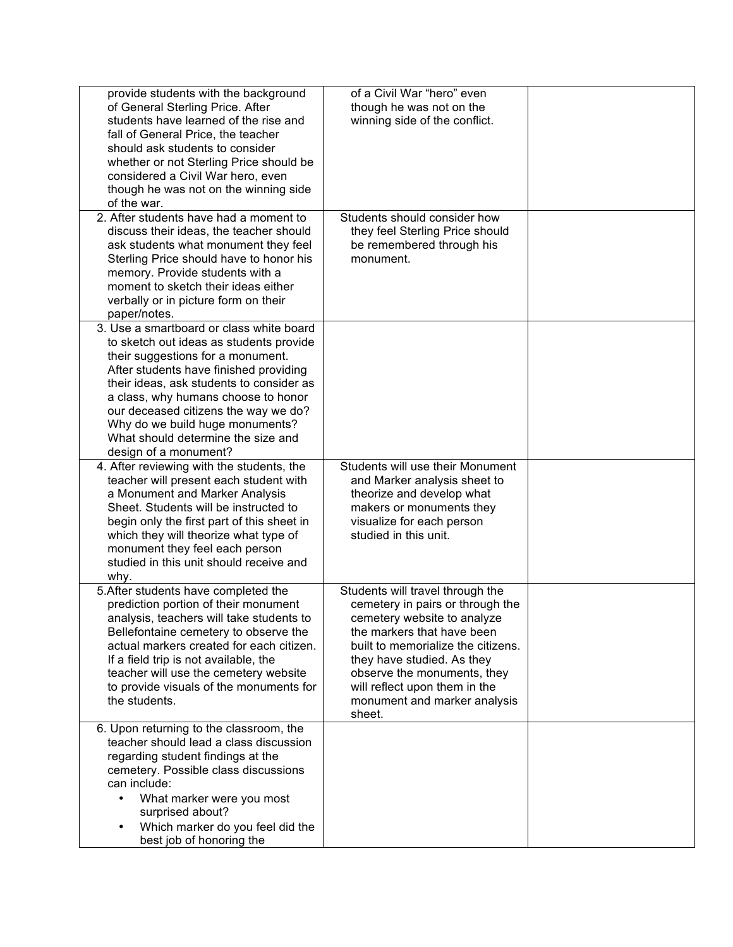| provide students with the background<br>of General Sterling Price. After<br>students have learned of the rise and                                                                                                                                                                                                                                           | of a Civil War "hero" even<br>though he was not on the<br>winning side of the conflict.                                                                                                                                                                                                                         |  |
|-------------------------------------------------------------------------------------------------------------------------------------------------------------------------------------------------------------------------------------------------------------------------------------------------------------------------------------------------------------|-----------------------------------------------------------------------------------------------------------------------------------------------------------------------------------------------------------------------------------------------------------------------------------------------------------------|--|
| fall of General Price, the teacher<br>should ask students to consider<br>whether or not Sterling Price should be                                                                                                                                                                                                                                            |                                                                                                                                                                                                                                                                                                                 |  |
| considered a Civil War hero, even<br>though he was not on the winning side                                                                                                                                                                                                                                                                                  |                                                                                                                                                                                                                                                                                                                 |  |
| of the war.                                                                                                                                                                                                                                                                                                                                                 |                                                                                                                                                                                                                                                                                                                 |  |
| 2. After students have had a moment to<br>discuss their ideas, the teacher should<br>ask students what monument they feel<br>Sterling Price should have to honor his<br>memory. Provide students with a<br>moment to sketch their ideas either<br>verbally or in picture form on their<br>paper/notes.                                                      | Students should consider how<br>they feel Sterling Price should<br>be remembered through his<br>monument.                                                                                                                                                                                                       |  |
| 3. Use a smartboard or class white board<br>to sketch out ideas as students provide<br>their suggestions for a monument.<br>After students have finished providing<br>their ideas, ask students to consider as                                                                                                                                              |                                                                                                                                                                                                                                                                                                                 |  |
| a class, why humans choose to honor<br>our deceased citizens the way we do?<br>Why do we build huge monuments?<br>What should determine the size and<br>design of a monument?                                                                                                                                                                               |                                                                                                                                                                                                                                                                                                                 |  |
| 4. After reviewing with the students, the<br>teacher will present each student with<br>a Monument and Marker Analysis<br>Sheet. Students will be instructed to<br>begin only the first part of this sheet in<br>which they will theorize what type of<br>monument they feel each person<br>studied in this unit should receive and<br>why.                  | Students will use their Monument<br>and Marker analysis sheet to<br>theorize and develop what<br>makers or monuments they<br>visualize for each person<br>studied in this unit.                                                                                                                                 |  |
| 5. After students have completed the<br>prediction portion of their monument<br>analysis, teachers will take students to<br>Bellefontaine cemetery to observe the<br>actual markers created for each citizen.<br>If a field trip is not available, the<br>teacher will use the cemetery website<br>to provide visuals of the monuments for<br>the students. | Students will travel through the<br>cemetery in pairs or through the<br>cemetery website to analyze<br>the markers that have been<br>built to memorialize the citizens.<br>they have studied. As they<br>observe the monuments, they<br>will reflect upon them in the<br>monument and marker analysis<br>sheet. |  |
| 6. Upon returning to the classroom, the<br>teacher should lead a class discussion<br>regarding student findings at the<br>cemetery. Possible class discussions<br>can include:<br>What marker were you most<br>$\bullet$<br>surprised about?<br>Which marker do you feel did the<br>$\bullet$<br>best job of honoring the                                   |                                                                                                                                                                                                                                                                                                                 |  |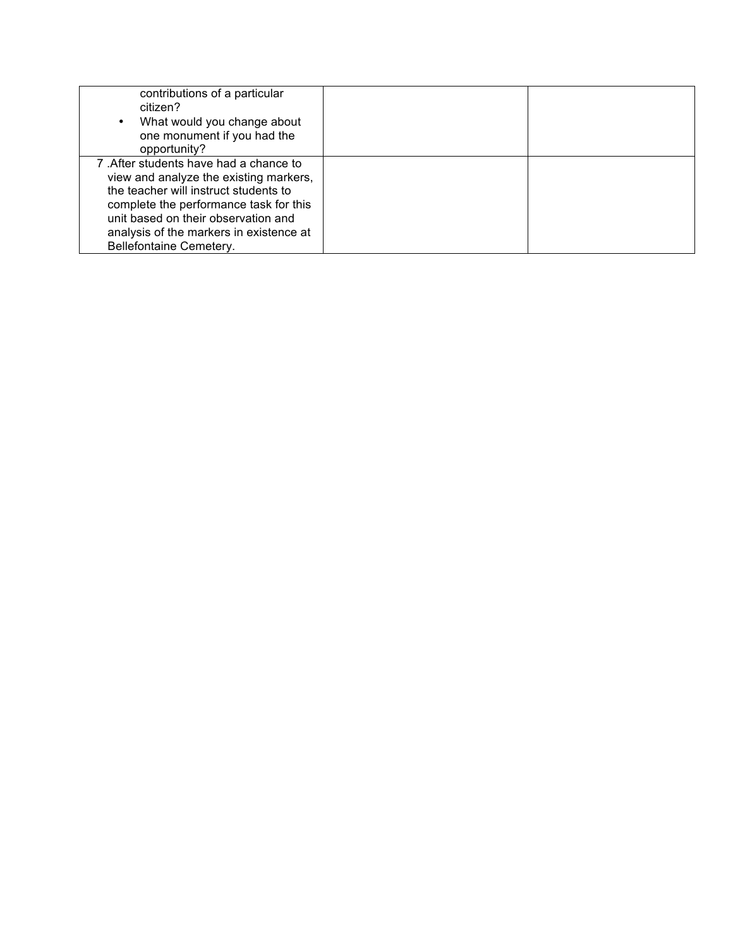| contributions of a particular<br>citizen?<br>What would you change about<br>$\bullet$<br>one monument if you had the<br>opportunity?                                                                                                                                             |  |
|----------------------------------------------------------------------------------------------------------------------------------------------------------------------------------------------------------------------------------------------------------------------------------|--|
| 7. After students have had a chance to<br>view and analyze the existing markers,<br>the teacher will instruct students to<br>complete the performance task for this<br>unit based on their observation and<br>analysis of the markers in existence at<br>Bellefontaine Cemetery. |  |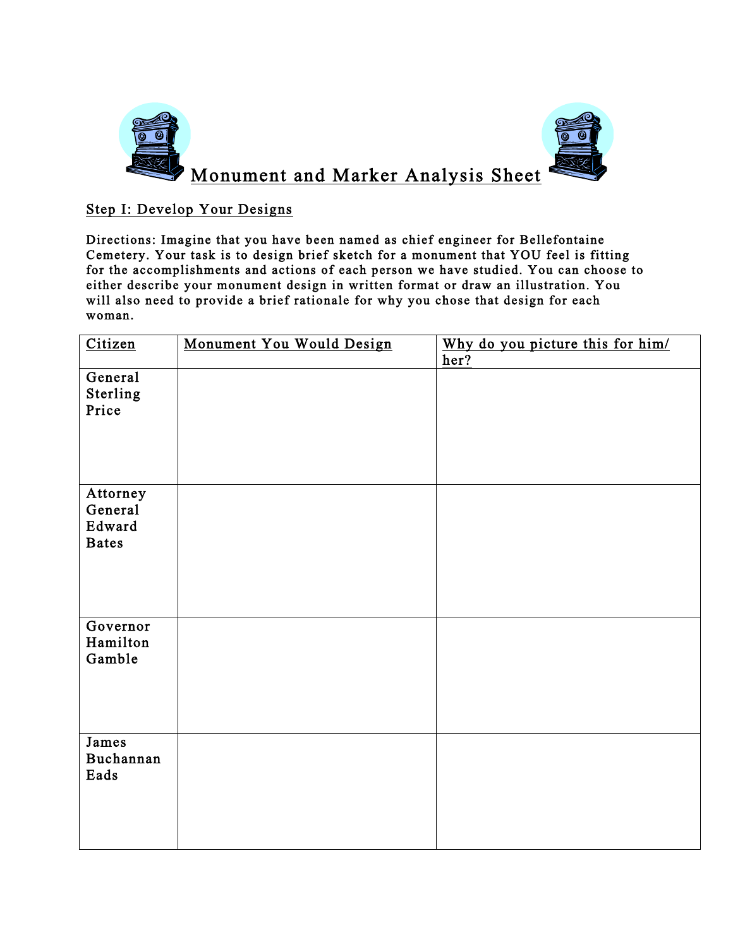

## Step I: Develop Your Designs

Directions: Imagine that you have been named as chief engineer for Bellefontaine Cemetery. Your task is to design brief sketch for a monument that YOU feel is fitting for the accomplishments and actions of each person we have studied. You can choose to either describe your monument design in written format or draw an illustration. You will also need to provide a brief rationale for why you chose that design for each woman.

| Citizen      | Monument You Would Design | Why do you picture this for him/ |
|--------------|---------------------------|----------------------------------|
|              |                           | her?                             |
| General      |                           |                                  |
| Sterling     |                           |                                  |
| Price        |                           |                                  |
|              |                           |                                  |
|              |                           |                                  |
|              |                           |                                  |
|              |                           |                                  |
| Attorney     |                           |                                  |
| General      |                           |                                  |
| Edward       |                           |                                  |
| <b>Bates</b> |                           |                                  |
|              |                           |                                  |
|              |                           |                                  |
|              |                           |                                  |
|              |                           |                                  |
| Governor     |                           |                                  |
| Hamilton     |                           |                                  |
| Gamble       |                           |                                  |
|              |                           |                                  |
|              |                           |                                  |
|              |                           |                                  |
|              |                           |                                  |
| James        |                           |                                  |
| Buchannan    |                           |                                  |
| Eads         |                           |                                  |
|              |                           |                                  |
|              |                           |                                  |
|              |                           |                                  |
|              |                           |                                  |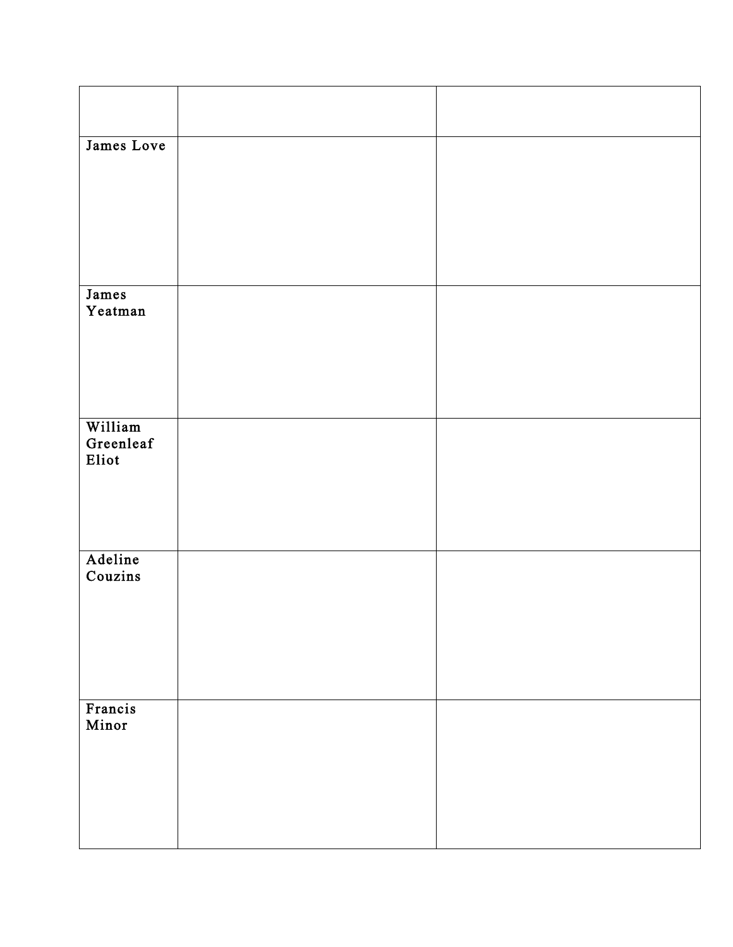| James Love |  |
|------------|--|
|            |  |
|            |  |
|            |  |
|            |  |
|            |  |
|            |  |
|            |  |
|            |  |
|            |  |
| James      |  |
| Yeatman    |  |
|            |  |
|            |  |
|            |  |
|            |  |
|            |  |
|            |  |
|            |  |
| William    |  |
|            |  |
| Greenleaf  |  |
| Eliot      |  |
|            |  |
|            |  |
|            |  |
|            |  |
|            |  |
|            |  |
| Adeline    |  |
| Couzins    |  |
|            |  |
|            |  |
|            |  |
|            |  |
|            |  |
|            |  |
|            |  |
|            |  |
| Francis    |  |
| Minor      |  |
|            |  |
|            |  |
|            |  |
|            |  |
|            |  |
|            |  |
|            |  |
|            |  |
|            |  |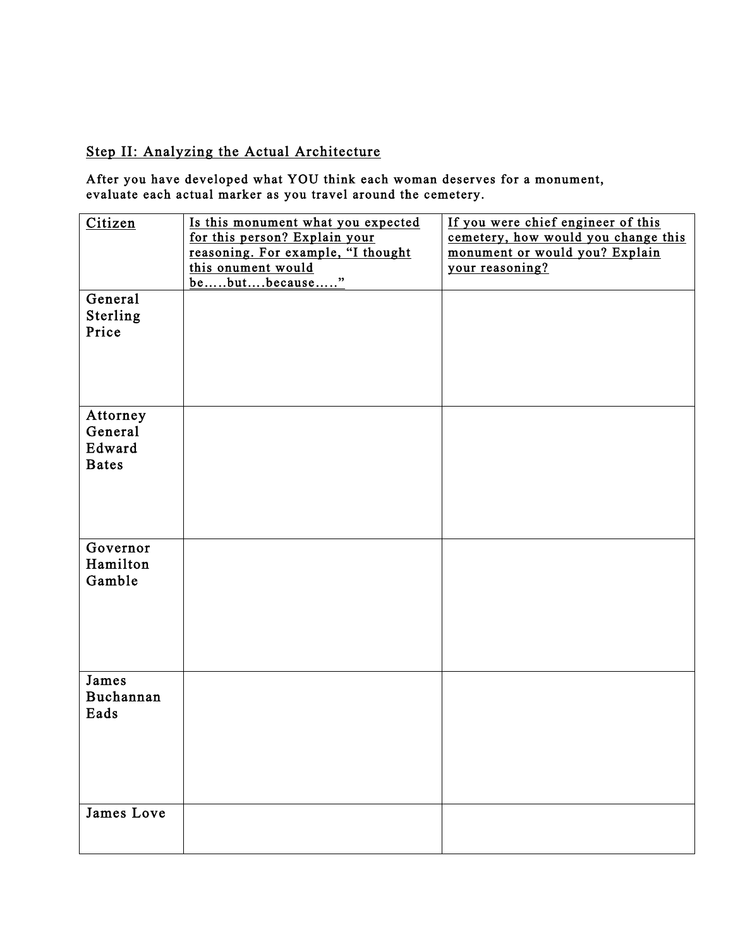## Step II: Analyzing the Actual Architecture

After you have developed what YOU think each woman deserves for a monument, evaluate each actual marker as you travel around the cemetery.

| Citizen             | Is this monument what you expected | If you were chief engineer of this  |
|---------------------|------------------------------------|-------------------------------------|
|                     | for this person? Explain your      | cemetery, how would you change this |
|                     | reasoning. For example, "I thought | monument or would you? Explain      |
|                     | this onument would                 | your reasoning?                     |
|                     | bebutbecause"                      |                                     |
| General             |                                    |                                     |
| Sterling            |                                    |                                     |
| Price               |                                    |                                     |
|                     |                                    |                                     |
|                     |                                    |                                     |
|                     |                                    |                                     |
|                     |                                    |                                     |
|                     |                                    |                                     |
| Attorney<br>General |                                    |                                     |
| Edward              |                                    |                                     |
|                     |                                    |                                     |
| <b>Bates</b>        |                                    |                                     |
|                     |                                    |                                     |
|                     |                                    |                                     |
|                     |                                    |                                     |
|                     |                                    |                                     |
| Governor            |                                    |                                     |
| Hamilton            |                                    |                                     |
| Gamble              |                                    |                                     |
|                     |                                    |                                     |
|                     |                                    |                                     |
|                     |                                    |                                     |
|                     |                                    |                                     |
|                     |                                    |                                     |
| James               |                                    |                                     |
| Buchannan           |                                    |                                     |
| Eads                |                                    |                                     |
|                     |                                    |                                     |
|                     |                                    |                                     |
|                     |                                    |                                     |
|                     |                                    |                                     |
|                     |                                    |                                     |
| James Love          |                                    |                                     |
|                     |                                    |                                     |
|                     |                                    |                                     |
|                     |                                    |                                     |